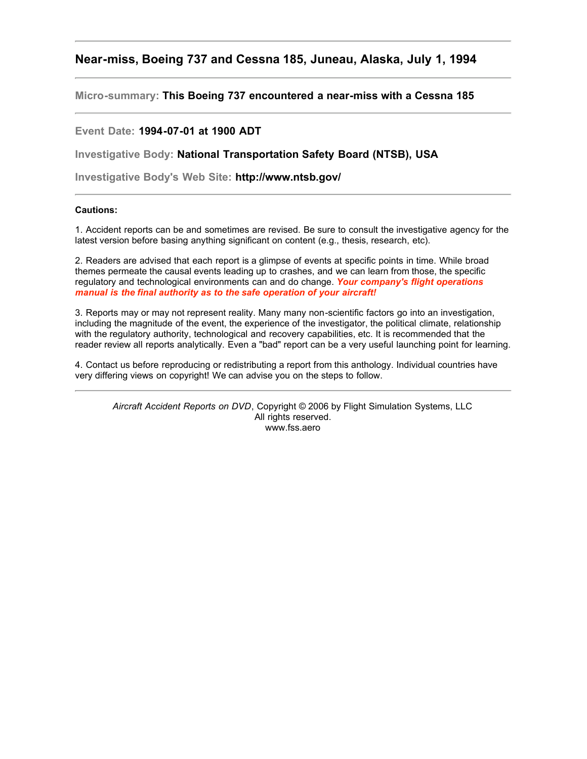## **Near-miss, Boeing 737 and Cessna 185, Juneau, Alaska, July 1, 1994**

**Micro-summary: This Boeing 737 encountered a near-miss with a Cessna 185**

## **Event Date: 1994-07-01 at 1900 ADT**

**Investigative Body: National Transportation Safety Board (NTSB), USA**

**Investigative Body's Web Site: http://www.ntsb.gov/**

## **Cautions:**

1. Accident reports can be and sometimes are revised. Be sure to consult the investigative agency for the latest version before basing anything significant on content (e.g., thesis, research, etc).

2. Readers are advised that each report is a glimpse of events at specific points in time. While broad themes permeate the causal events leading up to crashes, and we can learn from those, the specific regulatory and technological environments can and do change. *Your company's flight operations manual is the final authority as to the safe operation of your aircraft!*

3. Reports may or may not represent reality. Many many non-scientific factors go into an investigation, including the magnitude of the event, the experience of the investigator, the political climate, relationship with the regulatory authority, technological and recovery capabilities, etc. It is recommended that the reader review all reports analytically. Even a "bad" report can be a very useful launching point for learning.

4. Contact us before reproducing or redistributing a report from this anthology. Individual countries have very differing views on copyright! We can advise you on the steps to follow.

*Aircraft Accident Reports on DVD*, Copyright © 2006 by Flight Simulation Systems, LLC All rights reserved. www.fss.aero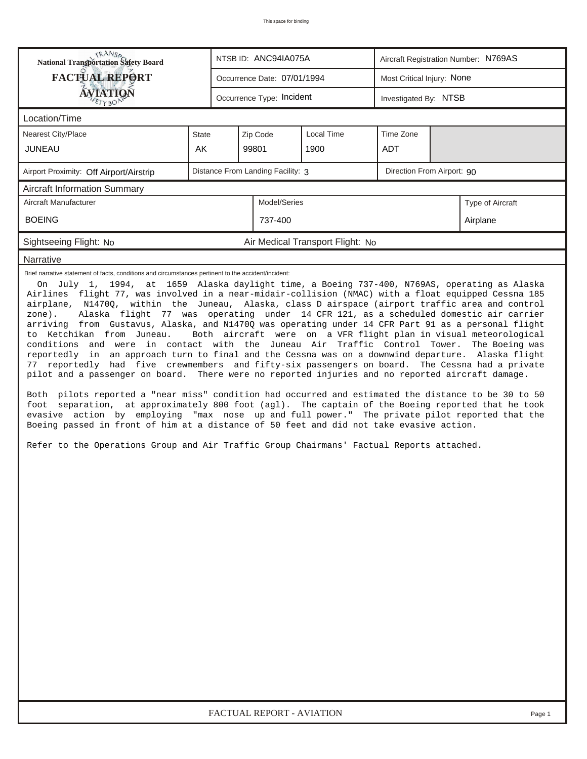| <b>TRANSA</b><br>National Transportation Safety Board                                                                                                                                                                                                                                                                                                                                                                                                                                                                                                                                                                                                                                                                                                                                                                                                                                                                                                                                                                                                                                                                                                                                                                                                                                                                                                                                                                                   |       |                                   | NTSB ID: ANC94IA075A        |                                  | Aircraft Registration Number: N769AS |  |                                                                                    |  |  |  |
|-----------------------------------------------------------------------------------------------------------------------------------------------------------------------------------------------------------------------------------------------------------------------------------------------------------------------------------------------------------------------------------------------------------------------------------------------------------------------------------------------------------------------------------------------------------------------------------------------------------------------------------------------------------------------------------------------------------------------------------------------------------------------------------------------------------------------------------------------------------------------------------------------------------------------------------------------------------------------------------------------------------------------------------------------------------------------------------------------------------------------------------------------------------------------------------------------------------------------------------------------------------------------------------------------------------------------------------------------------------------------------------------------------------------------------------------|-------|-----------------------------------|-----------------------------|----------------------------------|--------------------------------------|--|------------------------------------------------------------------------------------|--|--|--|
| <b>FACTUAL REPORT</b>                                                                                                                                                                                                                                                                                                                                                                                                                                                                                                                                                                                                                                                                                                                                                                                                                                                                                                                                                                                                                                                                                                                                                                                                                                                                                                                                                                                                                   |       |                                   | Occurrence Date: 07/01/1994 |                                  | Most Critical Injury: None           |  |                                                                                    |  |  |  |
| <b>ÁVIATION</b><br>ETYBOP                                                                                                                                                                                                                                                                                                                                                                                                                                                                                                                                                                                                                                                                                                                                                                                                                                                                                                                                                                                                                                                                                                                                                                                                                                                                                                                                                                                                               |       |                                   | Occurrence Type: Incident   |                                  | Investigated By: NTSB                |  |                                                                                    |  |  |  |
| Location/Time                                                                                                                                                                                                                                                                                                                                                                                                                                                                                                                                                                                                                                                                                                                                                                                                                                                                                                                                                                                                                                                                                                                                                                                                                                                                                                                                                                                                                           |       |                                   |                             |                                  |                                      |  |                                                                                    |  |  |  |
| Nearest City/Place                                                                                                                                                                                                                                                                                                                                                                                                                                                                                                                                                                                                                                                                                                                                                                                                                                                                                                                                                                                                                                                                                                                                                                                                                                                                                                                                                                                                                      | State |                                   | Zip Code                    | Local Time                       | Time Zone                            |  |                                                                                    |  |  |  |
| <b>JUNEAU</b>                                                                                                                                                                                                                                                                                                                                                                                                                                                                                                                                                                                                                                                                                                                                                                                                                                                                                                                                                                                                                                                                                                                                                                                                                                                                                                                                                                                                                           | AK.   |                                   | 99801                       | 1900                             | ADT                                  |  |                                                                                    |  |  |  |
| Airport Proximity: Off Airport/Airstrip                                                                                                                                                                                                                                                                                                                                                                                                                                                                                                                                                                                                                                                                                                                                                                                                                                                                                                                                                                                                                                                                                                                                                                                                                                                                                                                                                                                                 |       | Distance From Landing Facility: 3 | Direction From Airport: 90  |                                  |                                      |  |                                                                                    |  |  |  |
| <b>Aircraft Information Summary</b>                                                                                                                                                                                                                                                                                                                                                                                                                                                                                                                                                                                                                                                                                                                                                                                                                                                                                                                                                                                                                                                                                                                                                                                                                                                                                                                                                                                                     |       |                                   |                             |                                  |                                      |  |                                                                                    |  |  |  |
| Aircraft Manufacturer                                                                                                                                                                                                                                                                                                                                                                                                                                                                                                                                                                                                                                                                                                                                                                                                                                                                                                                                                                                                                                                                                                                                                                                                                                                                                                                                                                                                                   |       | Model/Series                      |                             | Type of Aircraft                 |                                      |  |                                                                                    |  |  |  |
| <b>BOEING</b>                                                                                                                                                                                                                                                                                                                                                                                                                                                                                                                                                                                                                                                                                                                                                                                                                                                                                                                                                                                                                                                                                                                                                                                                                                                                                                                                                                                                                           |       | 737-400                           |                             |                                  | Airplane                             |  |                                                                                    |  |  |  |
| Sightseeing Flight: No                                                                                                                                                                                                                                                                                                                                                                                                                                                                                                                                                                                                                                                                                                                                                                                                                                                                                                                                                                                                                                                                                                                                                                                                                                                                                                                                                                                                                  |       |                                   |                             | Air Medical Transport Flight: No |                                      |  |                                                                                    |  |  |  |
| Narrative                                                                                                                                                                                                                                                                                                                                                                                                                                                                                                                                                                                                                                                                                                                                                                                                                                                                                                                                                                                                                                                                                                                                                                                                                                                                                                                                                                                                                               |       |                                   |                             |                                  |                                      |  |                                                                                    |  |  |  |
| On July 1, 1994, at 1659 Alaska daylight time, a Boeing 737-400, N769AS, operating as Alaska<br>Airlines flight 77, was involved in a near-midair-collision (NMAC) with a float equipped Cessna 185<br>airplane, N1470Q, within the Juneau, Alaska, class D airspace (airport traffic area and control<br>Alaska flight 77 was operating under 14 CFR 121, as a scheduled domestic air carrier<br>zone).<br>arriving from Gustavus, Alaska, and N1470Q was operating under 14 CFR Part 91 as a personal flight<br>to Ketchikan from Juneau.<br>conditions and were in contact with the Juneau Air Traffic Control Tower.<br>reportedly in an approach turn to final and the Cessna was on a downwind departure. Alaska flight<br>77 reportedly had five crewmembers and fifty-six passengers on board. The Cessna had a private<br>pilot and a passenger on board. There were no reported injuries and no reported aircraft damage.<br>Both pilots reported a "near miss" condition had occurred and estimated the distance to be 30 to 50<br>foot separation, at approximately 800 foot (agl). The captain of the Boeing reported that he took<br>evasive action by employing "max nose up and full power." The private pilot reported that the<br>Boeing passed in front of him at a distance of 50 feet and did not take evasive action.<br>Refer to the Operations Group and Air Traffic Group Chairmans' Factual Reports attached. |       |                                   |                             |                                  |                                      |  | Both aircraft were on a VFR flight plan in visual meteorological<br>The Boeing was |  |  |  |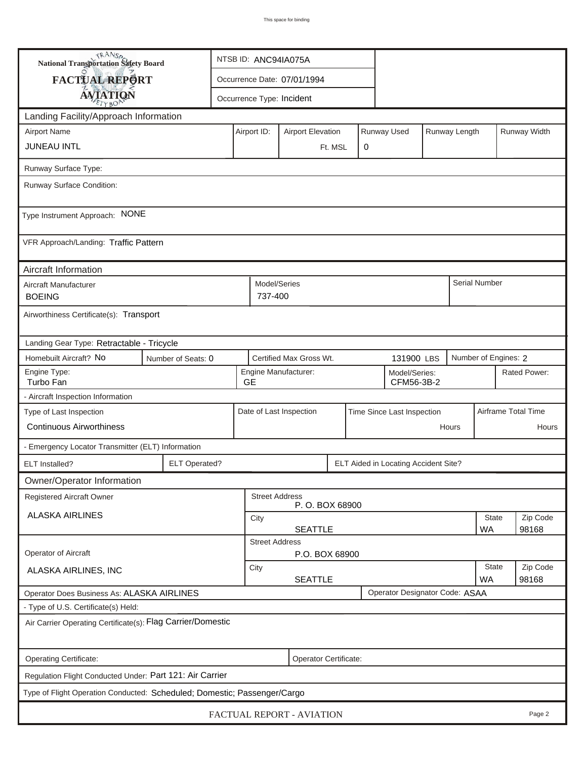| <b>National Transportation Safety Board</b>                                  | NTSB ID: ANC94IA075A                                                                |                                                              |                             |                                         |             |  |                            |                   |              |               |                     |
|------------------------------------------------------------------------------|-------------------------------------------------------------------------------------|--------------------------------------------------------------|-----------------------------|-----------------------------------------|-------------|--|----------------------------|-------------------|--------------|---------------|---------------------|
| <b>FACTUAL REPORT</b>                                                        |                                                                                     |                                                              | Occurrence Date: 07/01/1994 |                                         |             |  |                            |                   |              |               |                     |
| <b>AVIATION</b>                                                              |                                                                                     |                                                              | Occurrence Type: Incident   |                                         |             |  |                            |                   |              |               |                     |
| Landing Facility/Approach Information                                        |                                                                                     |                                                              |                             |                                         |             |  |                            |                   |              |               |                     |
| <b>Airport Name</b>                                                          | Airport ID:                                                                         | <b>Airport Elevation</b>                                     |                             |                                         | Runway Used |  | Runway Length              |                   | Runway Width |               |                     |
| <b>JUNEAU INTL</b>                                                           |                                                                                     |                                                              | Ft. MSL                     | 0                                       |             |  |                            |                   |              |               |                     |
| Runway Surface Type:                                                         |                                                                                     |                                                              |                             |                                         |             |  |                            |                   |              |               |                     |
| Runway Surface Condition:                                                    |                                                                                     |                                                              |                             |                                         |             |  |                            |                   |              |               |                     |
| Type Instrument Approach: NONE                                               |                                                                                     |                                                              |                             |                                         |             |  |                            |                   |              |               |                     |
| VFR Approach/Landing: Traffic Pattern                                        |                                                                                     |                                                              |                             |                                         |             |  |                            |                   |              |               |                     |
| Aircraft Information                                                         |                                                                                     |                                                              |                             |                                         |             |  |                            |                   |              |               |                     |
| Aircraft Manufacturer<br><b>BOEING</b>                                       |                                                                                     |                                                              | 737-400                     | Model/Series                            |             |  |                            |                   |              | Serial Number |                     |
| Airworthiness Certificate(s): Transport                                      |                                                                                     |                                                              |                             |                                         |             |  |                            |                   |              |               |                     |
| Landing Gear Type: Retractable - Tricycle                                    |                                                                                     |                                                              |                             |                                         |             |  |                            |                   |              |               |                     |
| Homebuilt Aircraft? No                                                       | Certified Max Gross Wt.<br>Number of Engines: 2<br>Number of Seats: 0<br>131900 LBS |                                                              |                             |                                         |             |  |                            |                   |              |               |                     |
| Engine Type:<br>Turbo Fan                                                    | <b>GE</b>                                                                           | Engine Manufacturer:<br>Model/Series:<br>CFM56-3B-2          |                             |                                         |             |  |                            | Rated Power:      |              |               |                     |
| - Aircraft Inspection Information                                            |                                                                                     |                                                              |                             |                                         |             |  |                            |                   |              |               |                     |
| Type of Last Inspection                                                      |                                                                                     |                                                              |                             | Date of Last Inspection                 |             |  | Time Since Last Inspection |                   |              |               | Airframe Total Time |
| <b>Continuous Airworthiness</b>                                              |                                                                                     |                                                              |                             |                                         |             |  | Hours                      |                   | Hours        |               |                     |
| - Emergency Locator Transmitter (ELT) Information                            |                                                                                     |                                                              |                             |                                         |             |  |                            |                   |              |               |                     |
| ELT Installed?                                                               |                                                                                     | <b>ELT Operated?</b><br>ELT Aided in Locating Accident Site? |                             |                                         |             |  |                            |                   |              |               |                     |
| Owner/Operator Information                                                   |                                                                                     |                                                              |                             |                                         |             |  |                            |                   |              |               |                     |
| <b>Registered Aircraft Owner</b>                                             |                                                                                     |                                                              |                             | <b>Street Address</b><br>P.O. BOX 68900 |             |  |                            |                   |              |               |                     |
| <b>ALASKA AIRLINES</b>                                                       |                                                                                     |                                                              | <b>State</b><br>City        |                                         |             |  |                            |                   |              | Zip Code      |                     |
|                                                                              |                                                                                     |                                                              |                             | <b>SEATTLE</b><br><b>Street Address</b> |             |  |                            |                   |              | <b>WA</b>     | 98168               |
| Operator of Aircraft                                                         |                                                                                     |                                                              |                             | P.O. BOX 68900                          |             |  |                            |                   |              |               |                     |
| ALASKA AIRLINES, INC                                                         | City<br><b>SEATTLE</b>                                                              |                                                              |                             |                                         |             |  | <b>State</b><br><b>WA</b>  | Zip Code<br>98168 |              |               |                     |
| Operator Designator Code: ASAA<br>Operator Does Business As: ALASKA AIRLINES |                                                                                     |                                                              |                             |                                         |             |  |                            |                   |              |               |                     |
| - Type of U.S. Certificate(s) Held:                                          |                                                                                     |                                                              |                             |                                         |             |  |                            |                   |              |               |                     |
| Air Carrier Operating Certificate(s): Flag Carrier/Domestic                  |                                                                                     |                                                              |                             |                                         |             |  |                            |                   |              |               |                     |
| Operating Certificate:                                                       | Operator Certificate:                                                               |                                                              |                             |                                         |             |  |                            |                   |              |               |                     |
| Regulation Flight Conducted Under: Part 121: Air Carrier                     |                                                                                     |                                                              |                             |                                         |             |  |                            |                   |              |               |                     |
| Type of Flight Operation Conducted: Scheduled; Domestic; Passenger/Cargo     |                                                                                     |                                                              |                             |                                         |             |  |                            |                   |              |               |                     |
| FACTUAL REPORT - AVIATION<br>Page 2                                          |                                                                                     |                                                              |                             |                                         |             |  |                            |                   |              |               |                     |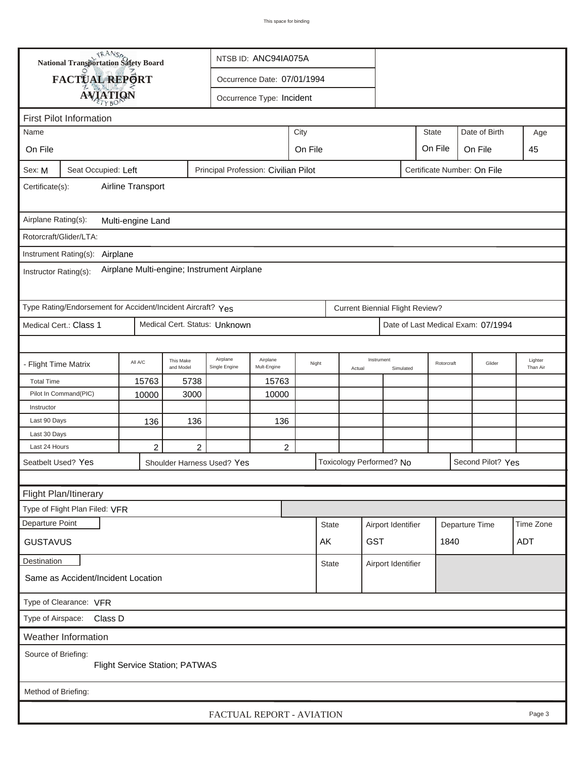| <b>National Transportation Safety Board</b>                         |                                                             |                                              |                             |                                      | NTSB ID: ANC94IA075A    |       |              |        |                                        |                    |                |                                    |                     |
|---------------------------------------------------------------------|-------------------------------------------------------------|----------------------------------------------|-----------------------------|--------------------------------------|-------------------------|-------|--------------|--------|----------------------------------------|--------------------|----------------|------------------------------------|---------------------|
|                                                                     | FACTUAL REPORT                                              |                                              | Occurrence Date: 07/01/1994 |                                      |                         |       |              |        |                                        |                    |                |                                    |                     |
|                                                                     |                                                             | <b>AVIATION</b><br>Occurrence Type: Incident |                             |                                      |                         |       |              |        |                                        |                    |                |                                    |                     |
|                                                                     |                                                             |                                              |                             |                                      |                         |       |              |        |                                        |                    |                |                                    |                     |
| <b>First Pilot Information</b>                                      |                                                             |                                              |                             |                                      |                         |       |              |        |                                        |                    |                |                                    |                     |
| City<br>Name                                                        |                                                             |                                              |                             |                                      |                         |       |              |        |                                        | <b>State</b>       | Date of Birth  | Age<br>45                          |                     |
| On File                                                             |                                                             |                                              |                             | On File<br>On File<br>On File        |                         |       |              |        |                                        |                    |                |                                    |                     |
| Sex: M                                                              | Seat Occupied: Left                                         |                                              |                             | Principal Profession: Civilian Pilot |                         |       |              |        |                                        |                    |                | Certificate Number: On File        |                     |
| Airline Transport<br>Certificate(s):                                |                                                             |                                              |                             |                                      |                         |       |              |        |                                        |                    |                |                                    |                     |
| Airplane Rating(s):<br>Multi-engine Land                            |                                                             |                                              |                             |                                      |                         |       |              |        |                                        |                    |                |                                    |                     |
|                                                                     | Rotorcraft/Glider/LTA:                                      |                                              |                             |                                      |                         |       |              |        |                                        |                    |                |                                    |                     |
|                                                                     | Instrument Rating(s):<br>Airplane                           |                                              |                             |                                      |                         |       |              |        |                                        |                    |                |                                    |                     |
| Airplane Multi-engine; Instrument Airplane<br>Instructor Rating(s): |                                                             |                                              |                             |                                      |                         |       |              |        |                                        |                    |                |                                    |                     |
|                                                                     | Type Rating/Endorsement for Accident/Incident Aircraft? Yes |                                              |                             |                                      |                         |       |              |        | <b>Current Biennial Flight Review?</b> |                    |                |                                    |                     |
|                                                                     | Medical Cert.: Class 1                                      |                                              |                             | Medical Cert. Status: Unknown        |                         |       |              |        |                                        |                    |                | Date of Last Medical Exam: 07/1994 |                     |
|                                                                     |                                                             |                                              |                             |                                      |                         |       |              |        |                                        |                    |                |                                    |                     |
| - Flight Time Matrix                                                |                                                             | All A/C                                      | This Make<br>and Model      | Airplane<br>Single Engine            | Airplane<br>Mult-Engine | Night |              | Actual | Instrument                             | Simulated          |                | Glider<br>Rotorcraft               | Lighter<br>Than Air |
| <b>Total Time</b>                                                   |                                                             | 15763                                        | 5738                        |                                      | 15763                   |       |              |        |                                        |                    |                |                                    |                     |
|                                                                     | Pilot In Command(PIC)                                       | 10000                                        | 3000                        |                                      | 10000                   |       |              |        |                                        |                    |                |                                    |                     |
| Instructor                                                          |                                                             |                                              |                             |                                      |                         |       |              |        |                                        |                    |                |                                    |                     |
| Last 90 Days                                                        |                                                             | 136                                          | 136                         |                                      | 136                     |       |              |        |                                        |                    |                |                                    |                     |
| Last 30 Days<br>Last 24 Hours                                       |                                                             | 2                                            | 2                           |                                      | 2                       |       |              |        |                                        |                    |                |                                    |                     |
|                                                                     | Seatbelt Used? Yes                                          |                                              |                             | Shoulder Harness Used? Yes           |                         |       |              |        | Toxicology Performed? No               |                    |                | Second Pilot? Yes                  |                     |
|                                                                     |                                                             |                                              |                             |                                      |                         |       |              |        |                                        |                    |                |                                    |                     |
|                                                                     |                                                             |                                              |                             |                                      |                         |       |              |        |                                        |                    |                |                                    |                     |
|                                                                     | Flight Plan/Itinerary<br>Type of Flight Plan Filed: VFR     |                                              |                             |                                      |                         |       |              |        |                                        |                    |                |                                    |                     |
| Departure Point                                                     |                                                             |                                              |                             |                                      |                         |       | <b>State</b> |        | Airport Identifier                     |                    |                |                                    | Time Zone           |
|                                                                     |                                                             |                                              |                             |                                      |                         |       |              |        |                                        |                    | Departure Time |                                    |                     |
| <b>GUSTAVUS</b>                                                     |                                                             |                                              |                             |                                      |                         |       | AK           |        | <b>GST</b>                             |                    | 1840           |                                    | ADT                 |
| Destination                                                         |                                                             |                                              |                             |                                      |                         |       | State        |        |                                        | Airport Identifier |                |                                    |                     |
|                                                                     | Same as Accident/Incident Location                          |                                              |                             |                                      |                         |       |              |        |                                        |                    |                |                                    |                     |
| Type of Clearance: VFR                                              |                                                             |                                              |                             |                                      |                         |       |              |        |                                        |                    |                |                                    |                     |
| Class D<br>Type of Airspace:                                        |                                                             |                                              |                             |                                      |                         |       |              |        |                                        |                    |                |                                    |                     |
|                                                                     | <b>Weather Information</b>                                  |                                              |                             |                                      |                         |       |              |        |                                        |                    |                |                                    |                     |
| Source of Briefing:<br><b>Flight Service Station; PATWAS</b>        |                                                             |                                              |                             |                                      |                         |       |              |        |                                        |                    |                |                                    |                     |
| Method of Briefing:                                                 |                                                             |                                              |                             |                                      |                         |       |              |        |                                        |                    |                |                                    |                     |
| FACTUAL REPORT - AVIATION<br>Page 3                                 |                                                             |                                              |                             |                                      |                         |       |              |        |                                        |                    |                |                                    |                     |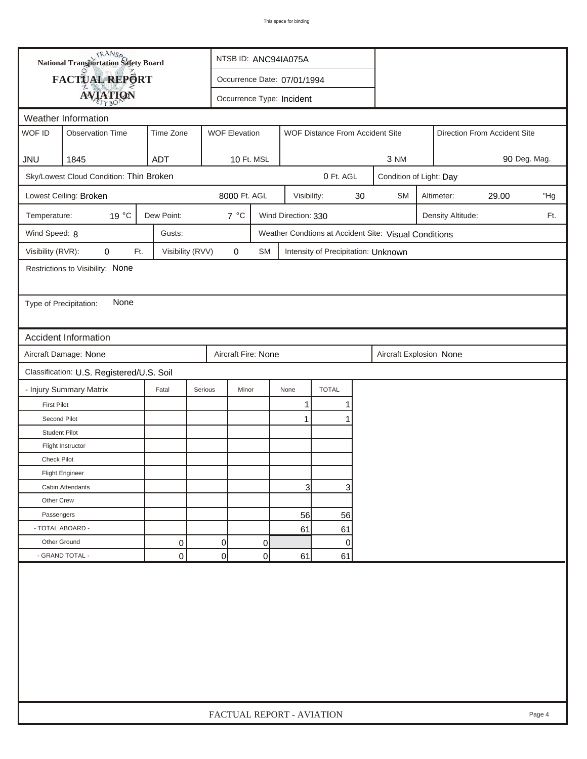| <b>National Transportation Safety Board</b> |                                           |                  |                      | NTSB ID: ANC94IA075A                     |              |                                     |    |                                                       |  |                              |              |     |
|---------------------------------------------|-------------------------------------------|------------------|----------------------|------------------------------------------|--------------|-------------------------------------|----|-------------------------------------------------------|--|------------------------------|--------------|-----|
| <b>FACTUAL REPORT</b>                       |                                           |                  |                      | Occurrence Date: 07/01/1994              |              |                                     |    |                                                       |  |                              |              |     |
|                                             | Occurrence Type: Incident                 |                  |                      |                                          |              |                                     |    |                                                       |  |                              |              |     |
| <b>AVIATION</b><br>Weather Information      |                                           |                  |                      |                                          |              |                                     |    |                                                       |  |                              |              |     |
| WOF ID                                      | <b>Observation Time</b>                   | Time Zone        | <b>WOF Elevation</b> | WOF Distance From Accident Site          |              |                                     |    |                                                       |  | Direction From Accident Site |              |     |
|                                             |                                           |                  |                      |                                          |              |                                     |    |                                                       |  |                              |              |     |
| <b>JNU</b>                                  | 1845                                      | <b>ADT</b>       |                      | 10 Ft. MSL                               |              |                                     |    | 3 NM                                                  |  |                              | 90 Deg. Mag. |     |
|                                             | Sky/Lowest Cloud Condition: Thin Broken   |                  |                      |                                          |              | 0 Ft. AGL                           |    | Condition of Light: Day                               |  |                              |              |     |
|                                             | Lowest Ceiling: Broken                    |                  | 8000 Ft. AGL         |                                          | Visibility:  |                                     | 30 | <b>SM</b><br>29.00<br>Altimeter:                      |  |                              |              | "Hg |
| Temperature:                                | 19 °C                                     | Dew Point:       | $7^{\circ}C$         | Wind Direction: 330<br>Density Altitude: |              |                                     |    |                                                       |  |                              |              | Ft. |
| Wind Speed: 8                               |                                           | Gusts:           |                      |                                          |              |                                     |    | Weather Condtions at Accident Site: Visual Conditions |  |                              |              |     |
| Visibility (RVR):                           | 0<br>Ft.                                  | Visibility (RVV) | $\mathbf 0$          | <b>SM</b>                                |              | Intensity of Precipitation: Unknown |    |                                                       |  |                              |              |     |
|                                             | Restrictions to Visibility: None          |                  |                      |                                          |              |                                     |    |                                                       |  |                              |              |     |
|                                             |                                           |                  |                      |                                          |              |                                     |    |                                                       |  |                              |              |     |
| Type of Precipitation:                      | None                                      |                  |                      |                                          |              |                                     |    |                                                       |  |                              |              |     |
|                                             |                                           |                  |                      |                                          |              |                                     |    |                                                       |  |                              |              |     |
|                                             | Accident Information                      |                  |                      |                                          |              |                                     |    |                                                       |  |                              |              |     |
|                                             | Aircraft Damage: None                     |                  | Aircraft Fire: None  |                                          |              |                                     |    | Aircraft Explosion None                               |  |                              |              |     |
|                                             | Classification: U.S. Registered/U.S. Soil |                  |                      |                                          |              |                                     |    |                                                       |  |                              |              |     |
|                                             | - Injury Summary Matrix                   | Fatal            | Serious<br>Minor     |                                          | None         | <b>TOTAL</b>                        |    |                                                       |  |                              |              |     |
| <b>First Pilot</b>                          |                                           |                  |                      |                                          | $\mathbf{1}$ | 1                                   |    |                                                       |  |                              |              |     |
| Second Pilot                                |                                           |                  |                      |                                          | 1            |                                     |    |                                                       |  |                              |              |     |
| <b>Student Pilot</b>                        |                                           |                  |                      |                                          |              |                                     |    |                                                       |  |                              |              |     |
|                                             | Flight Instructor                         |                  |                      |                                          |              |                                     |    |                                                       |  |                              |              |     |
| Check Pilot                                 |                                           |                  |                      |                                          |              |                                     |    |                                                       |  |                              |              |     |
|                                             | <b>Flight Engineer</b>                    |                  |                      |                                          |              |                                     |    |                                                       |  |                              |              |     |
|                                             | Cabin Attendants                          |                  |                      |                                          | 3            | 3                                   |    |                                                       |  |                              |              |     |
| Other Crew                                  |                                           |                  |                      |                                          |              |                                     |    |                                                       |  |                              |              |     |
| Passengers                                  |                                           |                  |                      |                                          | 56           | 56                                  |    |                                                       |  |                              |              |     |
| - TOTAL ABOARD -                            |                                           |                  |                      |                                          | 61           | 61                                  |    |                                                       |  |                              |              |     |
| Other Ground                                |                                           | 0                | 0                    | 0                                        |              | 0                                   |    |                                                       |  |                              |              |     |
|                                             | - GRAND TOTAL -                           | 0                | $\overline{0}$       | 0                                        | 61           | 61                                  |    |                                                       |  |                              |              |     |
|                                             |                                           |                  |                      |                                          |              |                                     |    |                                                       |  |                              |              |     |
| FACTUAL REPORT - AVIATION<br>Page 4         |                                           |                  |                      |                                          |              |                                     |    |                                                       |  |                              |              |     |